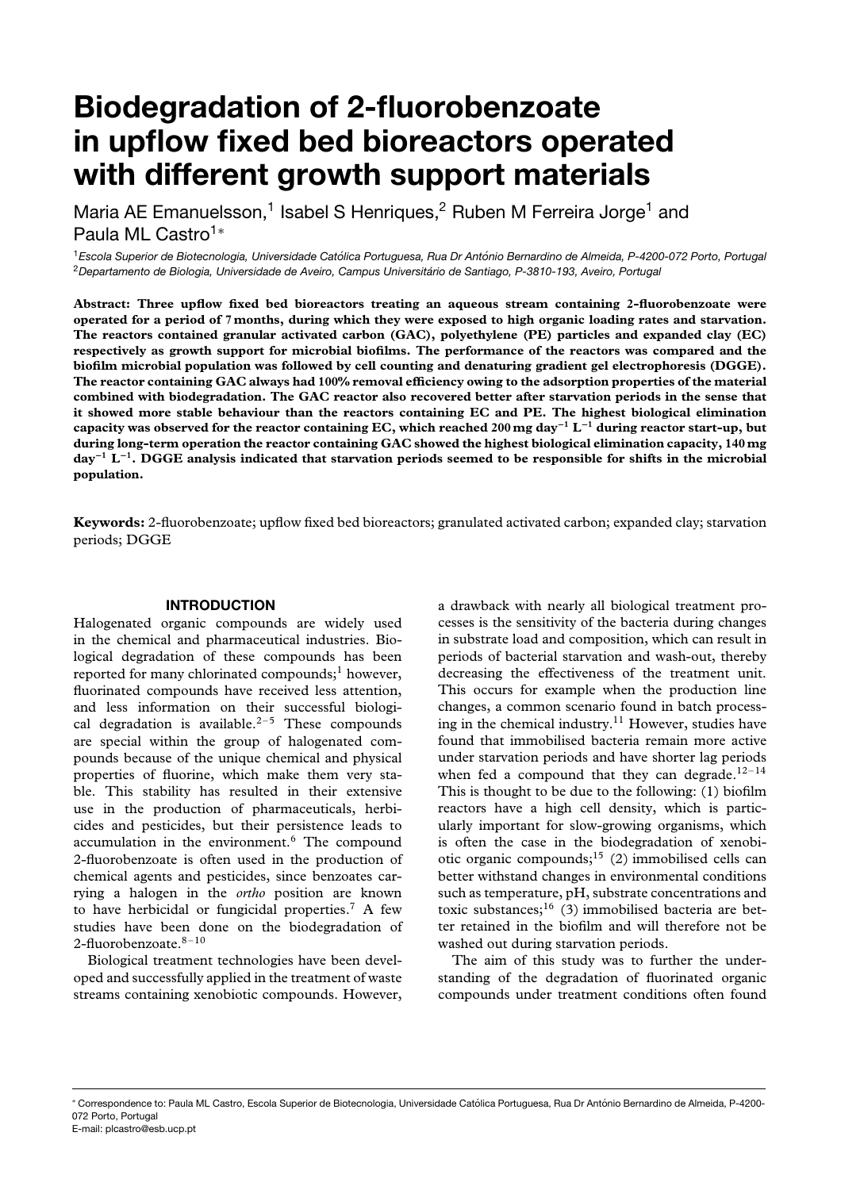# **Biodegradation of 2-fluorobenzoate in upflow fixed bed bioreactors operated with different growth support materials**

Maria AE Emanuelsson,<sup>1</sup> Isabel S Henriques,<sup>2</sup> Ruben M Ferreira Jorge<sup>1</sup> and Paula ML Castro<sup>1</sup><sup>∗</sup>

<sup>1</sup>*Escola Superior de Biotecnologia, Universidade Catolica Portuguesa, Rua Dr Ant ´ onio Bernardino de Almeida, P-4200-072 Porto, Portugal ´* <sup>2</sup>*Departamento de Biologia, Universidade de Aveiro, Campus Universitario de Santiago, P-3810-193, Aveiro, Portugal ´*

**Abstract: Three upflow fixed bed bioreactors treating an aqueous stream containing 2-fluorobenzoate were operated for a period of 7 months, during which they were exposed to high organic loading rates and starvation. The reactors contained granular activated carbon (GAC), polyethylene (PE) particles and expanded clay (EC) respectively as growth support for microbial biofilms. The performance of the reactors was compared and the biofilm microbial population was followed by cell counting and denaturing gradient gel electrophoresis (DGGE). The reactor containing GAC always had 100% removal efficiency owing to the adsorption properties of the material combined with biodegradation. The GAC reactor also recovered better after starvation periods in the sense that it showed more stable behaviour than the reactors containing EC and PE. The highest biological elimination capacity was observed for the reactor containing EC, which reached 200mg day−<sup>1</sup> L−<sup>1</sup> during reactor start-up, but during long-term operation the reactor containing GAC showed the highest biological elimination capacity, 140 mg day−<sup>1</sup> L−1. DGGE analysis indicated that starvation periods seemed to be responsible for shifts in the microbial population.**

**Keywords:** 2-fluorobenzoate; upflow fixed bed bioreactors; granulated activated carbon; expanded clay; starvation periods; DGGE

# **INTRODUCTION**

Halogenated organic compounds are widely used in the chemical and pharmaceutical industries. Biological degradation of these compounds has been reported for many chlorinated compounds;<sup>1</sup> however, fluorinated compounds have received less attention, and less information on their successful biological degradation is available.<sup>2-5</sup> These compounds are special within the group of halogenated compounds because of the unique chemical and physical properties of fluorine, which make them very stable. This stability has resulted in their extensive use in the production of pharmaceuticals, herbicides and pesticides, but their persistence leads to accumulation in the environment.<sup>6</sup> The compound 2-fluorobenzoate is often used in the production of chemical agents and pesticides, since benzoates carrying a halogen in the *ortho* position are known to have herbicidal or fungicidal properties.7 A few studies have been done on the biodegradation of 2-fluorobenzoate.  $^{8-10}$ 

Biological treatment technologies have been developed and successfully applied in the treatment of waste streams containing xenobiotic compounds. However, a drawback with nearly all biological treatment processes is the sensitivity of the bacteria during changes in substrate load and composition, which can result in periods of bacterial starvation and wash-out, thereby decreasing the effectiveness of the treatment unit. This occurs for example when the production line changes, a common scenario found in batch processing in the chemical industry.<sup>11</sup> However, studies have found that immobilised bacteria remain more active under starvation periods and have shorter lag periods when fed a compound that they can degrade.<sup>12–14</sup> This is thought to be due to the following: (1) biofilm reactors have a high cell density, which is particularly important for slow-growing organisms, which is often the case in the biodegradation of xenobiotic organic compounds;<sup>15</sup> (2) immobilised cells can better withstand changes in environmental conditions such as temperature, pH, substrate concentrations and toxic substances;<sup>16</sup> (3) immobilised bacteria are better retained in the biofilm and will therefore not be washed out during starvation periods.

The aim of this study was to further the understanding of the degradation of fluorinated organic compounds under treatment conditions often found

<sup>\*</sup> Correspondence to: Paula ML Castro, Escola Superior de Biotecnologia, Universidade Católica Portuguesa. Rua Dr António Bernardino de Almeida, P-4200-072 Porto, Portugal E-mail: plcastro@esb.ucp.pt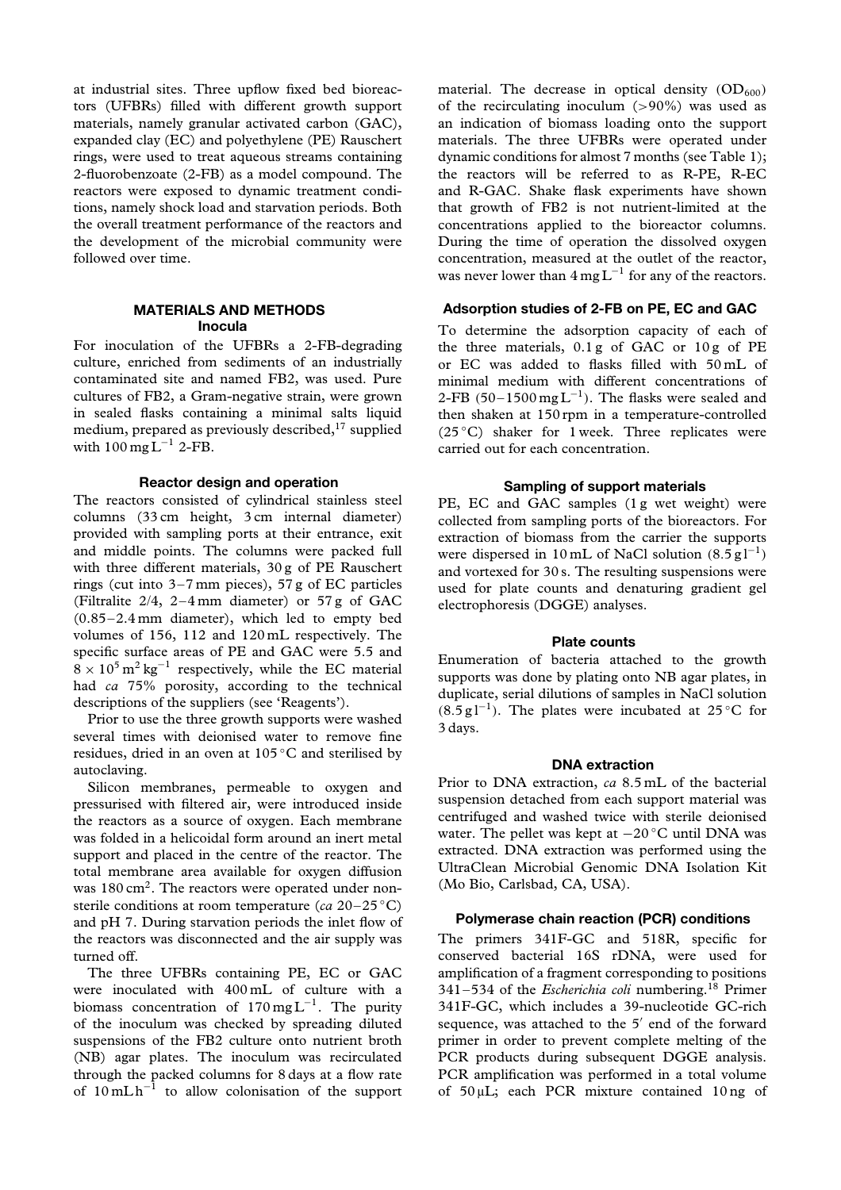at industrial sites. Three upflow fixed bed bioreactors (UFBRs) filled with different growth support materials, namely granular activated carbon (GAC), expanded clay (EC) and polyethylene (PE) Rauschert rings, were used to treat aqueous streams containing 2-fluorobenzoate (2-FB) as a model compound. The reactors were exposed to dynamic treatment conditions, namely shock load and starvation periods. Both the overall treatment performance of the reactors and the development of the microbial community were followed over time.

# **MATERIALS AND METHODS Inocula**

For inoculation of the UFBRs a 2-FB-degrading culture, enriched from sediments of an industrially contaminated site and named FB2, was used. Pure cultures of FB2, a Gram-negative strain, were grown in sealed flasks containing a minimal salts liquid medium, prepared as previously described,<sup>17</sup> supplied with  $100 \,\text{mg} \,\text{L}^{-1}$  2-FB.

# **Reactor design and operation**

The reactors consisted of cylindrical stainless steel columns (33 cm height, 3 cm internal diameter) provided with sampling ports at their entrance, exit and middle points. The columns were packed full with three different materials, 30 g of PE Rauschert rings (cut into 3–7 mm pieces), 57 g of EC particles (Filtralite 2/4, 2–4 mm diameter) or 57 g of GAC (0.85–2.4 mm diameter), which led to empty bed volumes of 156, 112 and 120 mL respectively. The specific surface areas of PE and GAC were 5.5 and  $8 \times 10^5 \,\mathrm{m}^2 \,\mathrm{kg}^{-1}$  respectively, while the EC material had *ca* 75% porosity, according to the technical descriptions of the suppliers (see 'Reagents').

Prior to use the three growth supports were washed several times with deionised water to remove fine residues, dried in an oven at 105 ◦C and sterilised by autoclaving.

Silicon membranes, permeable to oxygen and pressurised with filtered air, were introduced inside the reactors as a source of oxygen. Each membrane was folded in a helicoidal form around an inert metal support and placed in the centre of the reactor. The total membrane area available for oxygen diffusion was  $180 \text{ cm}^2$ . The reactors were operated under nonsterile conditions at room temperature (*ca* 20–25 ◦C) and pH 7. During starvation periods the inlet flow of the reactors was disconnected and the air supply was turned off.

The three UFBRs containing PE, EC or GAC were inoculated with 400 mL of culture with a biomass concentration of  $170 \text{ mg L}^{-1}$ . The purity of the inoculum was checked by spreading diluted suspensions of the FB2 culture onto nutrient broth (NB) agar plates. The inoculum was recirculated through the packed columns for 8 days at a flow rate of  $10 \text{ mL h}^{-1}$  to allow colonisation of the support material. The decrease in optical density  $(OD_{600})$ of the recirculating inoculum (*>*90%) was used as an indication of biomass loading onto the support materials. The three UFBRs were operated under dynamic conditions for almost 7 months (see Table 1); the reactors will be referred to as R-PE, R-EC and R-GAC. Shake flask experiments have shown that growth of FB2 is not nutrient-limited at the concentrations applied to the bioreactor columns. During the time of operation the dissolved oxygen concentration, measured at the outlet of the reactor, was never lower than  $4 \text{ mg L}^{-1}$  for any of the reactors.

# **Adsorption studies of 2-FB on PE, EC and GAC**

To determine the adsorption capacity of each of the three materials, 0.1 g of GAC or 10 g of PE or EC was added to flasks filled with 50 mL of minimal medium with different concentrations of 2-FB  $(50-1500 \text{ mg L}^{-1})$ . The flasks were sealed and then shaken at 150 rpm in a temperature-controlled (25 $°C$ ) shaker for 1 week. Three replicates were carried out for each concentration.

### **Sampling of support materials**

PE, EC and GAC samples (1g wet weight) were collected from sampling ports of the bioreactors. For extraction of biomass from the carrier the supports were dispersed in 10 mL of NaCl solution  $(8.5 \text{ g}1^{-1})$ and vortexed for 30 s. The resulting suspensions were used for plate counts and denaturing gradient gel electrophoresis (DGGE) analyses.

## **Plate counts**

Enumeration of bacteria attached to the growth supports was done by plating onto NB agar plates, in duplicate, serial dilutions of samples in NaCl solution *(*8*.*5gl−1*)*. The plates were incubated at 25 ◦C for 3 days.

#### **DNA extraction**

Prior to DNA extraction, *ca* 8.5 mL of the bacterial suspension detached from each support material was centrifuged and washed twice with sterile deionised water. The pellet was kept at −20 °C until DNA was extracted. DNA extraction was performed using the UltraClean Microbial Genomic DNA Isolation Kit (Mo Bio, Carlsbad, CA, USA).

#### **Polymerase chain reaction (PCR) conditions**

The primers 341F-GC and 518R, specific for conserved bacterial 16S rDNA, were used for amplification of a fragment corresponding to positions 341–534 of the *Escherichia coli* numbering.18 Primer 341F-GC, which includes a 39-nucleotide GC-rich sequence, was attached to the  $5'$  end of the forward primer in order to prevent complete melting of the PCR products during subsequent DGGE analysis. PCR amplification was performed in a total volume of 50 µL; each PCR mixture contained 10 ng of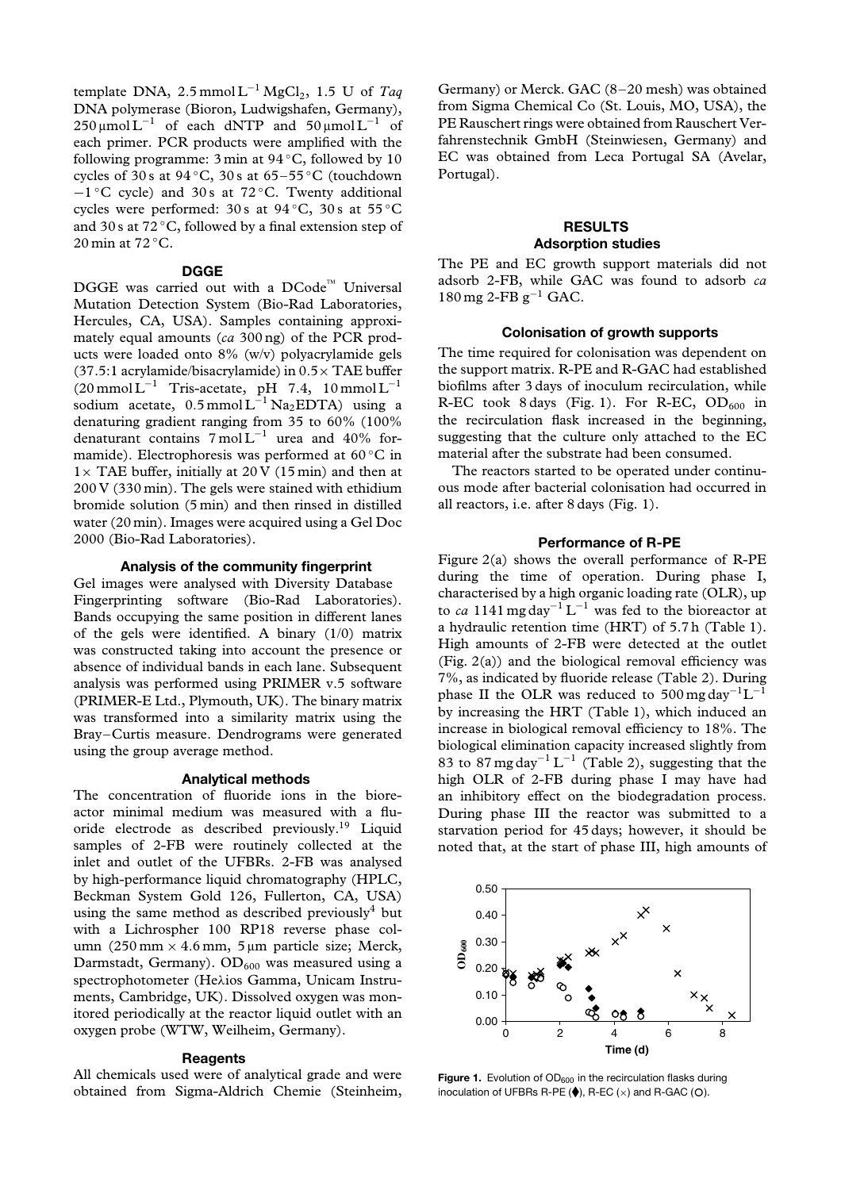template DNA,  $2.5$  mmol L<sup>-1</sup> MgCl<sub>2</sub>, 1.5 U of *Taq* DNA polymerase (Bioron, Ludwigshafen, Germany),  $250 \mu \text{mol} \text{L}^{-1}$  of each dNTP and  $50 \mu \text{mol} \text{L}^{-1}$  of each primer. PCR products were amplified with the following programme:  $3 \text{ min}$  at  $94 \degree C$ , followed by 10 cycles of 30 s at 94 ◦C, 30 s at 65–55 ◦C (touchdown −1 ◦C cycle) and 30 s at 72 ◦C. Twenty additional cycles were performed: 30 s at  $94^{\circ}$ C, 30 s at  $55^{\circ}$ C and 30 s at  $72^{\circ}$ C, followed by a final extension step of 20 min at 72 °C.

## **DGGE**

 $DGGE$  was carried out with a  $DCode^{\mathbb{M}}$  Universal Mutation Detection System (Bio-Rad Laboratories, Hercules, CA, USA). Samples containing approximately equal amounts (*ca* 300 ng) of the PCR products were loaded onto 8% (w/v) polyacrylamide gels (37.5:1 acrylamide/bisacrylamide) in 0*.*5× TAE buffer  $(20 \text{ mmol L}^{-1}$  Tris-acetate, pH 7.4, 10 mmol L<sup>-1</sup> sodium acetate, 0.5 mmol L<sup>-1</sup> Na<sub>2</sub>EDTA) using a denaturing gradient ranging from 35 to 60% (100% denaturant contains  $7 \text{ mol} L^{-1}$  urea and 40% formamide). Electrophoresis was performed at 60 ◦C in  $1 \times$  TAE buffer, initially at 20 V (15 min) and then at 200 V (330 min). The gels were stained with ethidium bromide solution (5 min) and then rinsed in distilled water (20 min). Images were acquired using a Gel Doc 2000 (Bio-Rad Laboratories).

## **Analysis of the community fingerprint**

Gel images were analysed with Diversity Database Fingerprinting software (Bio-Rad Laboratories). Bands occupying the same position in different lanes of the gels were identified. A binary (1/0) matrix was constructed taking into account the presence or absence of individual bands in each lane. Subsequent analysis was performed using PRIMER v.5 software (PRIMER-E Ltd., Plymouth, UK). The binary matrix was transformed into a similarity matrix using the Bray–Curtis measure. Dendrograms were generated using the group average method.

### **Analytical methods**

The concentration of fluoride ions in the bioreactor minimal medium was measured with a fluoride electrode as described previously.19 Liquid samples of 2-FB were routinely collected at the inlet and outlet of the UFBRs. 2-FB was analysed by high-performance liquid chromatography (HPLC, Beckman System Gold 126, Fullerton, CA, USA) using the same method as described previously<sup>4</sup> but with a Lichrospher 100 RP18 reverse phase column (250 mm × 4.6 mm, 5 µm particle size; Merck, Darmstadt, Germany).  $OD_{600}$  was measured using a spectrophotometer (He*λ*ios Gamma, Unicam Instruments, Cambridge, UK). Dissolved oxygen was monitored periodically at the reactor liquid outlet with an oxygen probe (WTW, Weilheim, Germany).

## **Reagents**

All chemicals used were of analytical grade and were obtained from Sigma-Aldrich Chemie (Steinheim, Germany) or Merck. GAC (8–20 mesh) was obtained from Sigma Chemical Co (St. Louis, MO, USA), the PE Rauschert rings were obtained from Rauschert Verfahrenstechnik GmbH (Steinwiesen, Germany) and EC was obtained from Leca Portugal SA (Avelar, Portugal).

# **RESULTS Adsorption studies**

The PE and EC growth support materials did not adsorb 2-FB, while GAC was found to adsorb *ca*  $180 \,\text{mg}$  2-FB g<sup>-1</sup> GAC.

## **Colonisation of growth supports**

The time required for colonisation was dependent on the support matrix. R-PE and R-GAC had established biofilms after 3 days of inoculum recirculation, while R-EC took 8 days (Fig. 1). For R-EC,  $OD_{600}$  in the recirculation flask increased in the beginning, suggesting that the culture only attached to the EC material after the substrate had been consumed.

The reactors started to be operated under continuous mode after bacterial colonisation had occurred in all reactors, i.e. after 8 days (Fig. 1).

## **Performance of R-PE**

Figure 2(a) shows the overall performance of R-PE during the time of operation. During phase I, characterised by a high organic loading rate (OLR), up to *ca* 1141 mg day<sup>-1</sup> L<sup>-1</sup> was fed to the bioreactor at a hydraulic retention time (HRT) of 5.7 h (Table 1). High amounts of 2-FB were detected at the outlet (Fig. 2(a)) and the biological removal efficiency was 7%, as indicated by fluoride release (Table 2). During phase II the OLR was reduced to 500 mg day<sup>-1</sup>L<sup>-1</sup> by increasing the HRT (Table 1), which induced an increase in biological removal efficiency to 18%. The biological elimination capacity increased slightly from 83 to 87 mg day<sup>-1</sup> L<sup>-1</sup> (Table 2), suggesting that the high OLR of 2-FB during phase I may have had an inhibitory effect on the biodegradation process. During phase III the reactor was submitted to a starvation period for 45 days; however, it should be noted that, at the start of phase III, high amounts of



**Figure 1.** Evolution of OD<sub>600</sub> in the recirculation flasks during inoculation of UFBRs R-PE  $(\spadesuit)$ , R-EC  $(\times)$  and R-GAC  $(O)$ .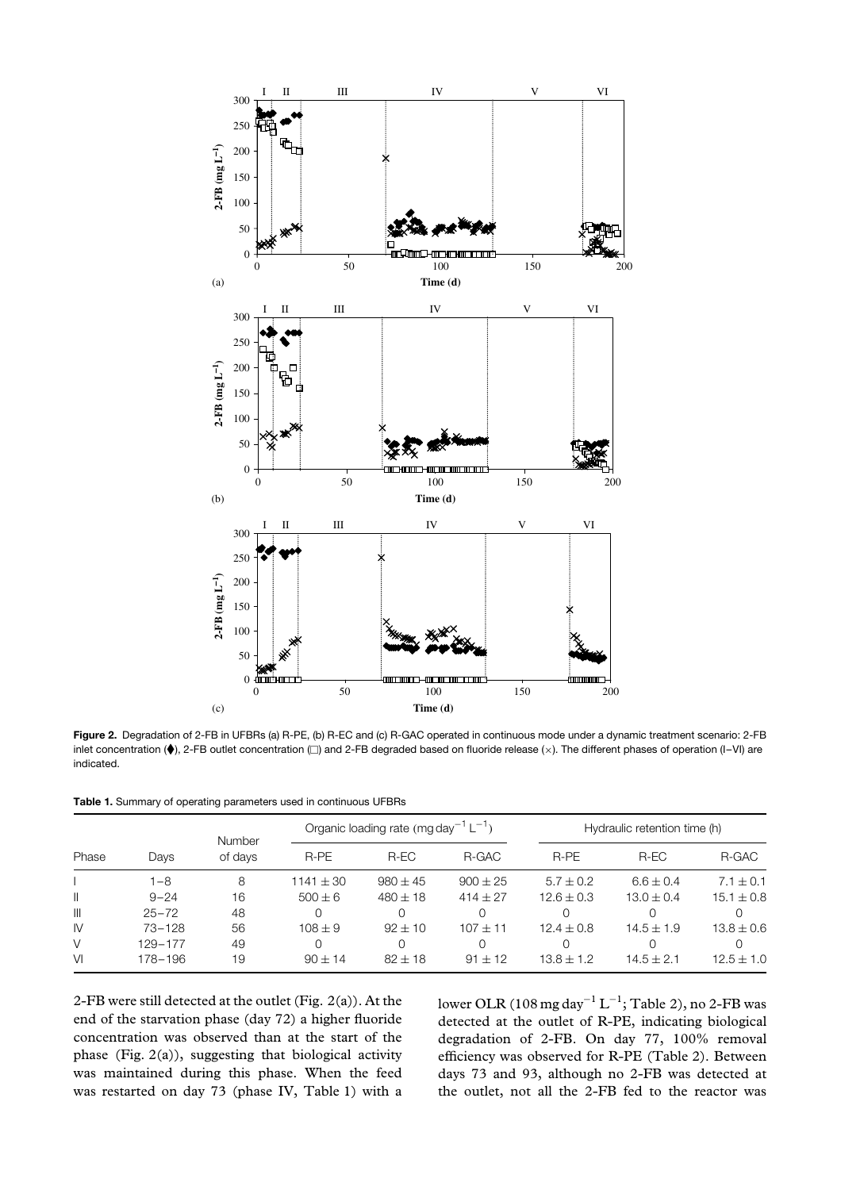

**Figure 2.** Degradation of 2-FB in UFBRs (a) R-PE, (b) R-EC and (c) R-GAC operated in continuous mode under a dynamic treatment scenario: 2-FB inlet concentration (♦), 2-FB outlet concentration (□) and 2-FB degraded based on fluoride release (×). The different phases of operation (I–VI) are indicated.

**Table 1.** Summary of operating parameters used in continuous UFBRs

| Phase        | Days       | <b>Number</b><br>of days |               | Organic loading rate (mg day <sup>-1</sup> L <sup>-1</sup> ) |              |                | Hydraulic retention time (h) |                |  |  |
|--------------|------------|--------------------------|---------------|--------------------------------------------------------------|--------------|----------------|------------------------------|----------------|--|--|
|              |            |                          | R-PE          | R-EC                                                         | R-GAC        | R-PE           | R-EC                         | R-GAC          |  |  |
|              | l –8       | 8                        | $1141 \pm 30$ | $980 \pm 45$                                                 | $900 \pm 25$ | $5.7 \pm 0.2$  | $6.6 \pm 0.4$                | $7.1 \pm 0.1$  |  |  |
| $\mathbf{I}$ | $9 - 24$   | 16                       | $500 \pm 6$   | $480 \pm 18$                                                 | $414 + 27$   | $12.6 \pm 0.3$ | $13.0 \pm 0.4$               | $15.1 \pm 0.8$ |  |  |
| $\mathbb{H}$ | $25 - 72$  | 48                       |               |                                                              | Ω            |                |                              |                |  |  |
| IV           | $73 - 128$ | 56                       | $108 \pm 9$   | $92 + 10$                                                    | $107 + 11$   | $12.4 \pm 0.8$ | $14.5 \pm 1.9$               | $13.8 \pm 0.6$ |  |  |
| V            | 129-177    | 49                       |               |                                                              | Ω            |                |                              |                |  |  |
| VI           | 178-196    | 19                       | $90 + 14$     | $82 + 18$                                                    | $91 \pm 12$  | $13.8 \pm 1.2$ | $14.5 + 2.1$                 | $12.5 \pm 1.0$ |  |  |

2-FB were still detected at the outlet (Fig. 2(a)). At the end of the starvation phase (day 72) a higher fluoride concentration was observed than at the start of the phase (Fig. 2(a)), suggesting that biological activity was maintained during this phase. When the feed was restarted on day 73 (phase IV, Table 1) with a lower OLR (108 mg day−<sup>1</sup> L−1; Table 2), no 2-FB was detected at the outlet of R-PE, indicating biological degradation of 2-FB. On day 77, 100% removal efficiency was observed for R-PE (Table 2). Between days 73 and 93, although no 2-FB was detected at the outlet, not all the 2-FB fed to the reactor was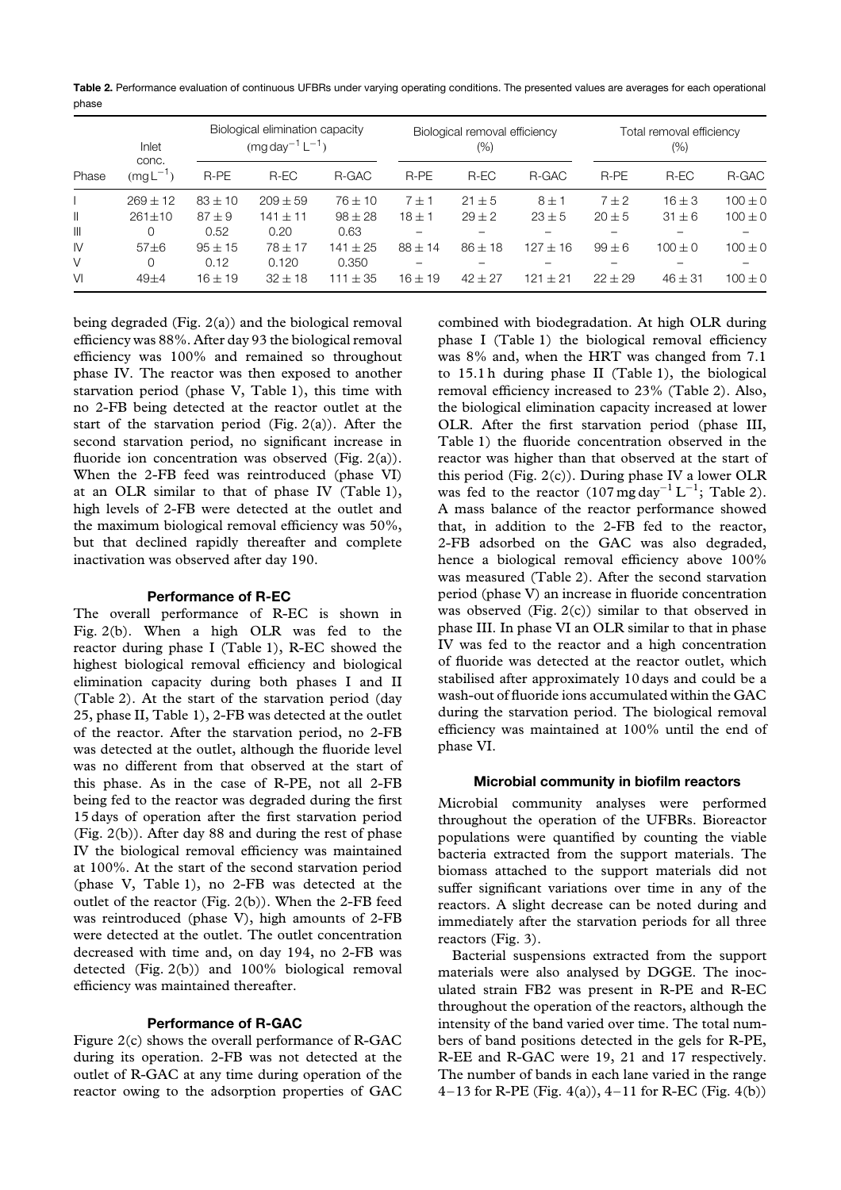**Table 2.** Performance evaluation of continuous UFBRs under varying operating conditions. The presented values are averages for each operational phase

| Phase         | Inlet<br>conc.<br>$(mgL^{-1})$ | Biological elimination capacity<br>$(mq day^{-1} L^{-1})$ |              |              | Biological removal efficiency<br>(%) |            |            | Total removal efficiency<br>(%) |             |             |
|---------------|--------------------------------|-----------------------------------------------------------|--------------|--------------|--------------------------------------|------------|------------|---------------------------------|-------------|-------------|
|               |                                | R-PE                                                      | R-EC         | R-GAC        | R-PE                                 | $R$ -EC    | R-GAC      | R-PE                            | R-EC        | R-GAC       |
|               | $269 + 12$                     | $83 \pm 10$                                               | $209 \pm 59$ | $76 \pm 10$  | $7 + 1$                              | $21 \pm 5$ | $8 \pm 1$  | $7 \pm 2$                       | $16 \pm 3$  | $100 \pm 0$ |
| Ш             | $261 \pm 10$                   | $87 + 9$                                                  | $141 + 11$   | $98 \pm 28$  | $18 + 1$                             | $29 \pm 2$ | $23 \pm 5$ | $20 \pm 5$                      | $31 \pm 6$  | $100 \pm 0$ |
| $\mathbb{H}$  | $\Omega$                       | 0.52                                                      | 0.20         | 0.63         |                                      |            |            |                                 |             |             |
| $\mathsf{IV}$ | $57 + 6$                       | $95 + 15$                                                 | $78 + 17$    | $141 \pm 25$ | $88 + 14$                            | $86 + 18$  | $127 + 16$ | $99 + 6$                        | $100 + 0$   | $100 \pm 0$ |
| V             | $\Omega$                       | 0.12                                                      | 0.120        | 0.350        |                                      |            |            |                                 |             |             |
| VI            | $49 + 4$                       | $16 \pm 19$                                               | $32 + 18$    | $111 \pm 35$ | $16 \pm 19$                          | $42 + 27$  | $121 + 21$ | $22 + 29$                       | $46 \pm 31$ | $100 \pm 0$ |

being degraded (Fig. 2(a)) and the biological removal efficiency was 88%. After day 93 the biological removal efficiency was 100% and remained so throughout phase IV. The reactor was then exposed to another starvation period (phase V, Table 1), this time with no 2-FB being detected at the reactor outlet at the start of the starvation period (Fig. 2(a)). After the second starvation period, no significant increase in fluoride ion concentration was observed (Fig. 2(a)). When the 2-FB feed was reintroduced (phase VI) at an OLR similar to that of phase IV (Table 1), high levels of 2-FB were detected at the outlet and the maximum biological removal efficiency was 50%, but that declined rapidly thereafter and complete inactivation was observed after day 190.

## **Performance of R-EC**

The overall performance of R-EC is shown in Fig. 2(b). When a high OLR was fed to the reactor during phase I (Table 1), R-EC showed the highest biological removal efficiency and biological elimination capacity during both phases I and II (Table 2). At the start of the starvation period (day 25, phase II, Table 1), 2-FB was detected at the outlet of the reactor. After the starvation period, no 2-FB was detected at the outlet, although the fluoride level was no different from that observed at the start of this phase. As in the case of R-PE, not all 2-FB being fed to the reactor was degraded during the first 15 days of operation after the first starvation period (Fig. 2(b)). After day 88 and during the rest of phase IV the biological removal efficiency was maintained at 100%. At the start of the second starvation period (phase V, Table 1), no 2-FB was detected at the outlet of the reactor (Fig. 2(b)). When the 2-FB feed was reintroduced (phase V), high amounts of 2-FB were detected at the outlet. The outlet concentration decreased with time and, on day 194, no 2-FB was detected (Fig. 2(b)) and 100% biological removal efficiency was maintained thereafter.

#### **Performance of R-GAC**

Figure 2(c) shows the overall performance of R-GAC during its operation. 2-FB was not detected at the outlet of R-GAC at any time during operation of the reactor owing to the adsorption properties of GAC combined with biodegradation. At high OLR during phase I (Table 1) the biological removal efficiency was 8% and, when the HRT was changed from 7.1 to 15.1 h during phase II (Table 1), the biological removal efficiency increased to 23% (Table 2). Also, the biological elimination capacity increased at lower OLR. After the first starvation period (phase III, Table 1) the fluoride concentration observed in the reactor was higher than that observed at the start of this period (Fig. 2(c)). During phase IV a lower OLR was fed to the reactor  $(107 \text{ mg day}^{-1} \text{ L}^{-1})$ ; Table 2). A mass balance of the reactor performance showed that, in addition to the 2-FB fed to the reactor, 2-FB adsorbed on the GAC was also degraded, hence a biological removal efficiency above 100% was measured (Table 2). After the second starvation period (phase V) an increase in fluoride concentration was observed (Fig.  $2(c)$ ) similar to that observed in phase III. In phase VI an OLR similar to that in phase IV was fed to the reactor and a high concentration of fluoride was detected at the reactor outlet, which stabilised after approximately 10 days and could be a wash-out of fluoride ions accumulated within the GAC during the starvation period. The biological removal efficiency was maintained at 100% until the end of phase VI.

# **Microbial community in biofilm reactors**

Microbial community analyses were performed throughout the operation of the UFBRs. Bioreactor populations were quantified by counting the viable bacteria extracted from the support materials. The biomass attached to the support materials did not suffer significant variations over time in any of the reactors. A slight decrease can be noted during and immediately after the starvation periods for all three reactors (Fig. 3).

Bacterial suspensions extracted from the support materials were also analysed by DGGE. The inoculated strain FB2 was present in R-PE and R-EC throughout the operation of the reactors, although the intensity of the band varied over time. The total numbers of band positions detected in the gels for R-PE, R-EE and R-GAC were 19, 21 and 17 respectively. The number of bands in each lane varied in the range 4–13 for R-PE (Fig.  $4(a)$ ),  $4-11$  for R-EC (Fig.  $4(b)$ )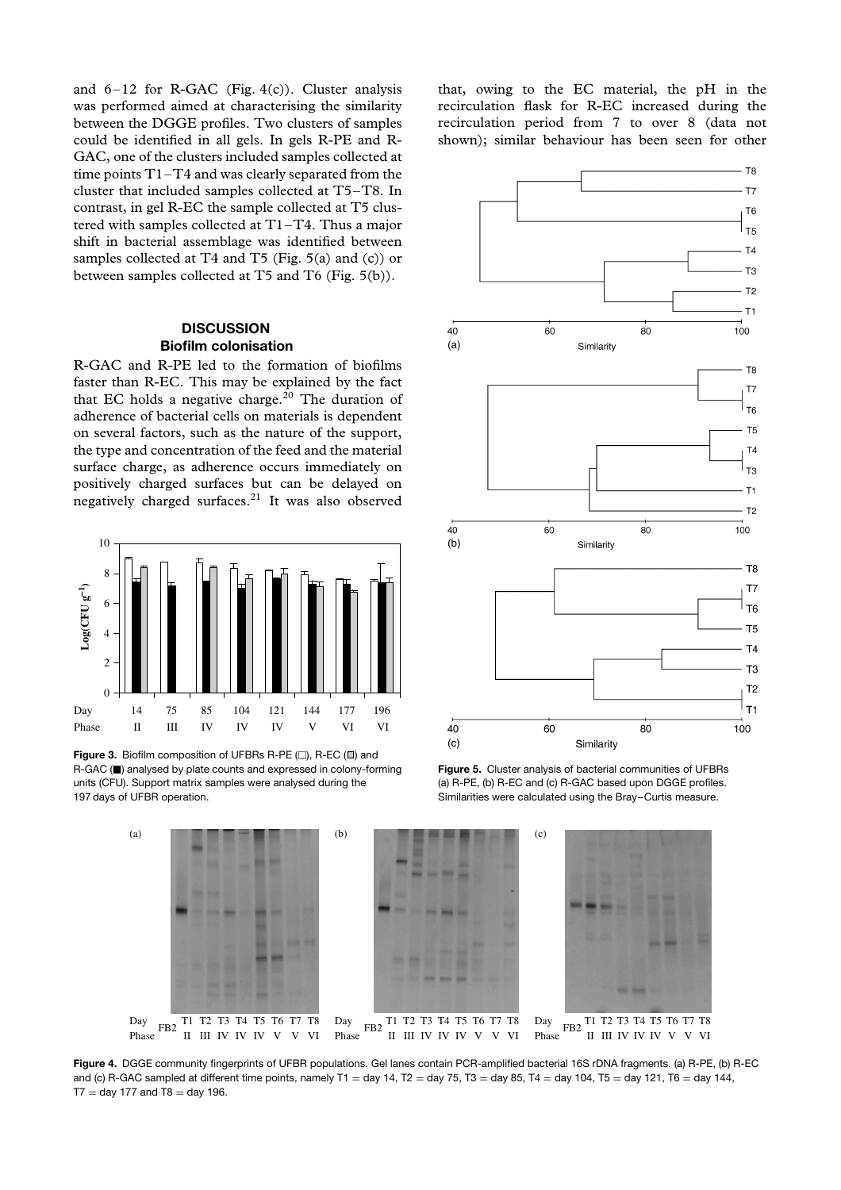and  $6-12$  for R-GAC (Fig. 4(c)). Cluster analysis was performed aimed at characterising the similarity between the DGGE profiles. Two clusters of samples could be identified in all gels. In gels R-PE and R-GAC, one of the clusters included samples collected at time points T1–T4 and was clearly separated from the cluster that included samples collected at T5–T8. In contrast, in gel R-EC the sample collected at T5 clustered with samples collected at T1–T4. Thus a major shift in bacterial assemblage was identified between samples collected at T4 and T5 (Fig. 5(a) and (c)) or between samples collected at T5 and T6 (Fig. 5(b)).

# **DISCUSSION Biofilm colonisation**

R-GAC and R-PE led to the formation of biofilms faster than R-EC. This may be explained by the fact that EC holds a negative charge.<sup>20</sup> The duration of adherence of bacterial cells on materials is dependent on several factors, such as the nature of the support, the type and concentration of the feed and the material surface charge, as adherence occurs immediately on positively charged surfaces but can be delayed on negatively charged surfaces. $21$  It was also observed



**Figure 3.** Biofilm composition of UFBRs R-PE ( $\square$ ), R-EC ( $\square$ ) and R-GAC ( $\blacksquare$ ) analysed by plate counts and expressed in colony-forming units (CFU). Support matrix samples were analysed during the 197 days of UFBR operation.

that, owing to the EC material, the pH in the recirculation flask for R-EC increased during the recirculation period from 7 to over 8 (data not shown); similar behaviour has been seen for other



**Figure 5.** Cluster analysis of bacterial communities of UFBRs (a) R-PE, (b) R-EC and (c) R-GAC based upon DGGE profiles. Similarities were calculated using the Bray–Curtis measure.



**Figure 4.** DGGE community fingerprints of UFBR populations. Gel lanes contain PCR-amplified bacterial 16S rDNA fragments. (a) R-PE, (b) R-EC and (c) R-GAC sampled at different time points, namely T1 = day 14, T2 = day 75, T3 = day 85, T4 = day 104, T5 = day 121, T6 = day 144,  $T7 = day 177$  and  $T8 = day 196$ .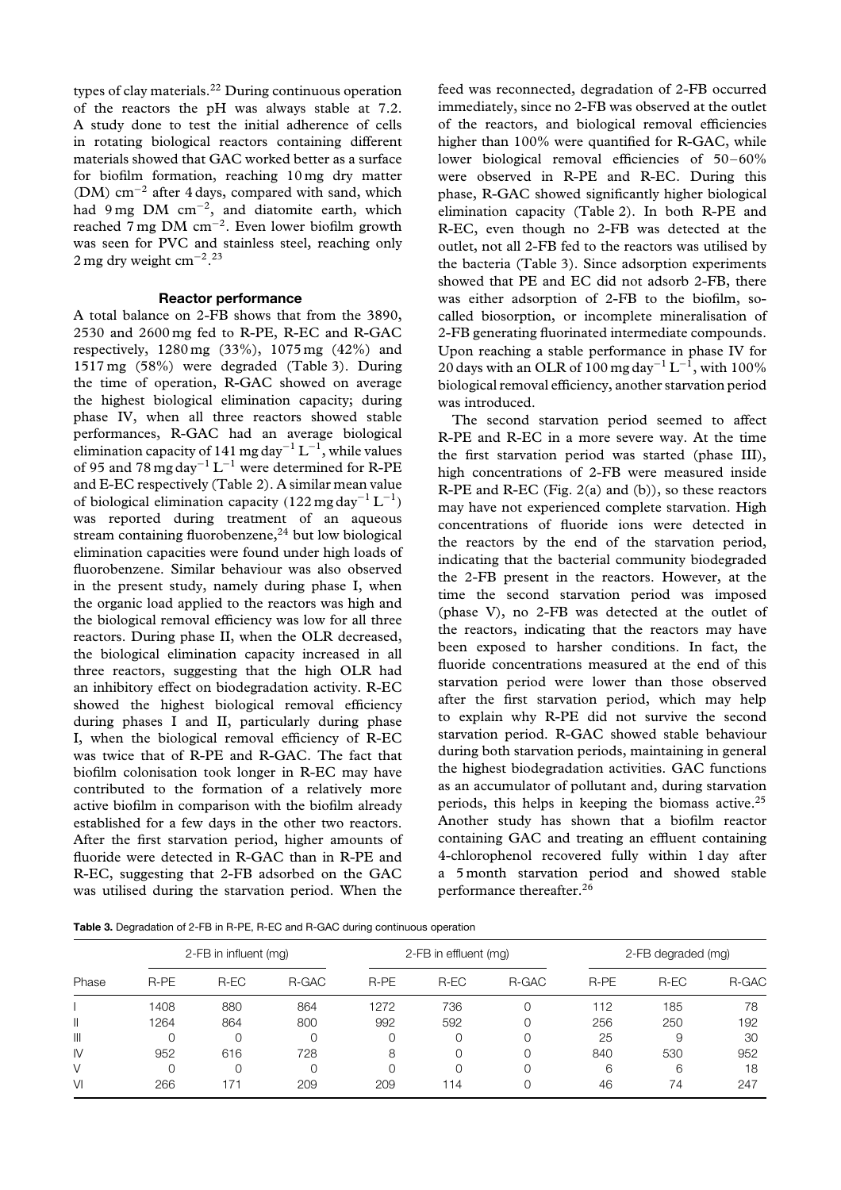types of clay materials.<sup>22</sup> During continuous operation of the reactors the pH was always stable at 7.2. A study done to test the initial adherence of cells in rotating biological reactors containing different materials showed that GAC worked better as a surface for biofilm formation, reaching 10 mg dry matter (DM) cm−<sup>2</sup> after 4 days, compared with sand, which had 9 mg DM  $cm^{-2}$ , and diatomite earth, which reached 7 mg DM cm−2. Even lower biofilm growth was seen for PVC and stainless steel, reaching only 2 mg dry weight cm<sup>-2</sup>.<sup>23</sup>

# **Reactor performance**

A total balance on 2-FB shows that from the 3890, 2530 and 2600 mg fed to R-PE, R-EC and R-GAC respectively, 1280 mg (33%), 1075 mg (42%) and 1517 mg (58%) were degraded (Table 3). During the time of operation, R-GAC showed on average the highest biological elimination capacity; during phase IV, when all three reactors showed stable performances, R-GAC had an average biological elimination capacity of 141 mg day<sup>-1</sup> L<sup>-1</sup>, while values of 95 and 78 mg day−<sup>1</sup> L−<sup>1</sup> were determined for R-PE and E-EC respectively (Table 2). A similar mean value of biological elimination capacity *(*122 mg day−<sup>1</sup> L−1*)* was reported during treatment of an aqueous stream containing fluorobenzene, $^{24}$  but low biological elimination capacities were found under high loads of fluorobenzene. Similar behaviour was also observed in the present study, namely during phase I, when the organic load applied to the reactors was high and the biological removal efficiency was low for all three reactors. During phase II, when the OLR decreased, the biological elimination capacity increased in all three reactors, suggesting that the high OLR had an inhibitory effect on biodegradation activity. R-EC showed the highest biological removal efficiency during phases I and II, particularly during phase I, when the biological removal efficiency of R-EC was twice that of R-PE and R-GAC. The fact that biofilm colonisation took longer in R-EC may have contributed to the formation of a relatively more active biofilm in comparison with the biofilm already established for a few days in the other two reactors. After the first starvation period, higher amounts of fluoride were detected in R-GAC than in R-PE and R-EC, suggesting that 2-FB adsorbed on the GAC was utilised during the starvation period. When the feed was reconnected, degradation of 2-FB occurred immediately, since no 2-FB was observed at the outlet of the reactors, and biological removal efficiencies higher than 100% were quantified for R-GAC, while lower biological removal efficiencies of 50–60% were observed in R-PE and R-EC. During this phase, R-GAC showed significantly higher biological elimination capacity (Table 2). In both R-PE and R-EC, even though no 2-FB was detected at the outlet, not all 2-FB fed to the reactors was utilised by the bacteria (Table 3). Since adsorption experiments showed that PE and EC did not adsorb 2-FB, there was either adsorption of 2-FB to the biofilm, socalled biosorption, or incomplete mineralisation of 2-FB generating fluorinated intermediate compounds. Upon reaching a stable performance in phase IV for 20 days with an OLR of 100 mg day<sup>-1</sup> L<sup>-1</sup>, with 100% biological removal efficiency, another starvation period was introduced.

The second starvation period seemed to affect R-PE and R-EC in a more severe way. At the time the first starvation period was started (phase III), high concentrations of 2-FB were measured inside R-PE and R-EC (Fig.  $2(a)$  and (b)), so these reactors may have not experienced complete starvation. High concentrations of fluoride ions were detected in the reactors by the end of the starvation period, indicating that the bacterial community biodegraded the 2-FB present in the reactors. However, at the time the second starvation period was imposed (phase V), no 2-FB was detected at the outlet of the reactors, indicating that the reactors may have been exposed to harsher conditions. In fact, the fluoride concentrations measured at the end of this starvation period were lower than those observed after the first starvation period, which may help to explain why R-PE did not survive the second starvation period. R-GAC showed stable behaviour during both starvation periods, maintaining in general the highest biodegradation activities. GAC functions as an accumulator of pollutant and, during starvation periods, this helps in keeping the biomass active.<sup>25</sup> Another study has shown that a biofilm reactor containing GAC and treating an effluent containing 4-chlorophenol recovered fully within 1 day after a 5 month starvation period and showed stable performance thereafter.26

**Table 3.** Degradation of 2-FB in R-PE, R-EC and R-GAC during continuous operation

| Phase         | 2-FB in influent (mg) |      |       |          | 2-FB in effluent (mg) |       | 2-FB degraded (mg) |      |       |
|---------------|-----------------------|------|-------|----------|-----------------------|-------|--------------------|------|-------|
|               | R-PE                  | R-EC | R-GAC | R-PE     | R-EC                  | R-GAC | R-PE               | R-EC | R-GAC |
|               | 1408                  | 880  | 864   | 1272     | 736                   |       | 112                | 185  | 78    |
| Ш             | 1264                  | 864  | 800   | 992      | 592                   |       | 256                | 250  | 192   |
| $\mathbb{I}$  |                       |      |       | $\Omega$ |                       |       | 25                 | 9    | 30    |
| $\mathsf{IV}$ | 952                   | 616  | 728   | 8        | 0                     |       | 840                | 530  | 952   |
| V             |                       |      |       | $\Omega$ |                       |       | 6                  | 6    | 18    |
| VI            | 266                   | 171  | 209   | 209      | 114                   |       | 46                 | 74   | 247   |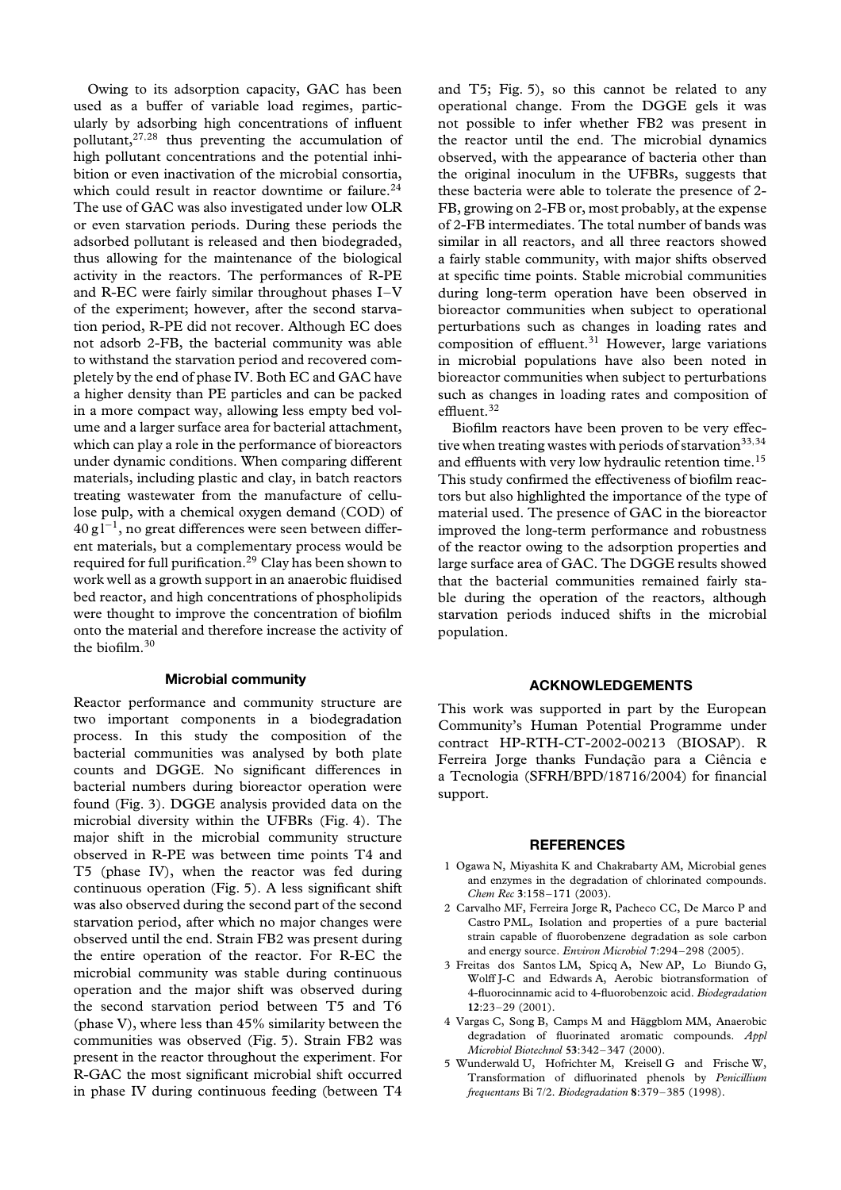Owing to its adsorption capacity, GAC has been used as a buffer of variable load regimes, particularly by adsorbing high concentrations of influent pollutant,27*,*<sup>28</sup> thus preventing the accumulation of high pollutant concentrations and the potential inhibition or even inactivation of the microbial consortia, which could result in reactor downtime or failure.<sup>24</sup> The use of GAC was also investigated under low OLR or even starvation periods. During these periods the adsorbed pollutant is released and then biodegraded, thus allowing for the maintenance of the biological activity in the reactors. The performances of R-PE and R-EC were fairly similar throughout phases I–V of the experiment; however, after the second starvation period, R-PE did not recover. Although EC does not adsorb 2-FB, the bacterial community was able to withstand the starvation period and recovered completely by the end of phase IV. Both EC and GAC have a higher density than PE particles and can be packed in a more compact way, allowing less empty bed volume and a larger surface area for bacterial attachment, which can play a role in the performance of bioreactors under dynamic conditions. When comparing different materials, including plastic and clay, in batch reactors treating wastewater from the manufacture of cellulose pulp, with a chemical oxygen demand (COD) of  $40 \text{ g}$ l<sup>-1</sup>, no great differences were seen between different materials, but a complementary process would be required for full purification.<sup>29</sup> Clay has been shown to work well as a growth support in an anaerobic fluidised bed reactor, and high concentrations of phospholipids were thought to improve the concentration of biofilm onto the material and therefore increase the activity of the biofilm. $30$ 

# **Microbial community**

Reactor performance and community structure are two important components in a biodegradation process. In this study the composition of the bacterial communities was analysed by both plate counts and DGGE. No significant differences in bacterial numbers during bioreactor operation were found (Fig. 3). DGGE analysis provided data on the microbial diversity within the UFBRs (Fig. 4). The major shift in the microbial community structure observed in R-PE was between time points T4 and T5 (phase IV), when the reactor was fed during continuous operation (Fig. 5). A less significant shift was also observed during the second part of the second starvation period, after which no major changes were observed until the end. Strain FB2 was present during the entire operation of the reactor. For R-EC the microbial community was stable during continuous operation and the major shift was observed during the second starvation period between T5 and T6 (phase V), where less than 45% similarity between the communities was observed (Fig. 5). Strain FB2 was present in the reactor throughout the experiment. For R-GAC the most significant microbial shift occurred in phase IV during continuous feeding (between T4 and T5; Fig. 5), so this cannot be related to any operational change. From the DGGE gels it was not possible to infer whether FB2 was present in the reactor until the end. The microbial dynamics observed, with the appearance of bacteria other than the original inoculum in the UFBRs, suggests that these bacteria were able to tolerate the presence of 2- FB, growing on 2-FB or, most probably, at the expense of 2-FB intermediates. The total number of bands was similar in all reactors, and all three reactors showed a fairly stable community, with major shifts observed at specific time points. Stable microbial communities during long-term operation have been observed in bioreactor communities when subject to operational perturbations such as changes in loading rates and composition of effluent. $31$  However, large variations in microbial populations have also been noted in bioreactor communities when subject to perturbations such as changes in loading rates and composition of effluent.<sup>32</sup>

Biofilm reactors have been proven to be very effective when treating wastes with periods of starvation<sup>33,34</sup> and effluents with very low hydraulic retention time.<sup>15</sup> This study confirmed the effectiveness of biofilm reactors but also highlighted the importance of the type of material used. The presence of GAC in the bioreactor improved the long-term performance and robustness of the reactor owing to the adsorption properties and large surface area of GAC. The DGGE results showed that the bacterial communities remained fairly stable during the operation of the reactors, although starvation periods induced shifts in the microbial population.

# **ACKNOWLEDGEMENTS**

This work was supported in part by the European Community's Human Potential Programme under contract HP-RTH-CT-2002-00213 (BIOSAP). R Ferreira Jorge thanks Fundação para a Ciência e a Tecnologia (SFRH/BPD/18716/2004) for financial support.

## **REFERENCES**

- 1 Ogawa N, Miyashita K and Chakrabarty AM, Microbial genes and enzymes in the degradation of chlorinated compounds. *Chem Rec* **3**:158–171 (2003).
- 2 Carvalho MF, Ferreira Jorge R, Pacheco CC, De Marco P and Castro PML, Isolation and properties of a pure bacterial strain capable of fluorobenzene degradation as sole carbon and energy source. *Environ Microbiol* **7**:294–298 (2005).
- 3 Freitas dos Santos LM, Spicq A, New AP, Lo Biundo G, Wolff J-C and Edwards A, Aerobic biotransformation of 4-fluorocinnamic acid to 4-fluorobenzoic acid. *Biodegradation* **12**:23–29 (2001).
- 4 Vargas C, Song B, Camps M and Häggblom MM, Anaerobic degradation of fluorinated aromatic compounds. *Appl Microbiol Biotechnol* **53**:342–347 (2000).
- 5 Wunderwald U, Hofrichter M, Kreisell G and Frische W, Transformation of difluorinated phenols by *Penicillium frequentans* Bi 7/2. *Biodegradation* **8**:379–385 (1998).